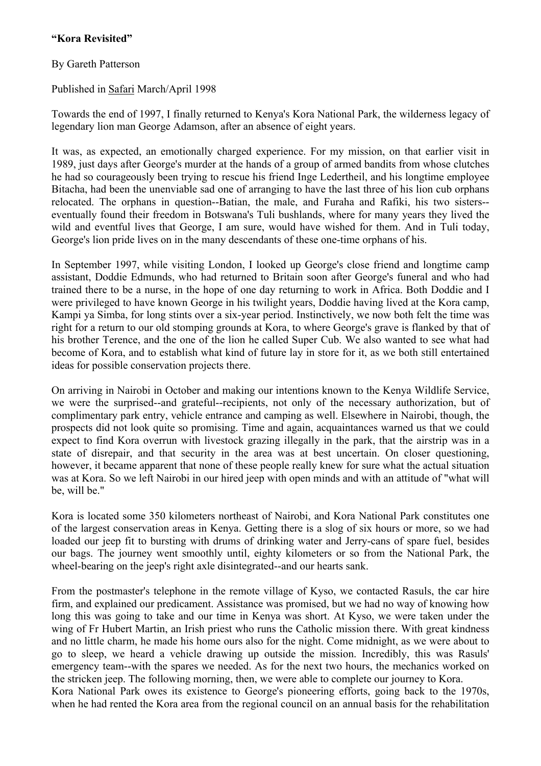## **"Kora Revisited"**

## By Gareth Patterson

Published in Safari March/April 1998

Towards the end of 1997, I finally returned to Kenya's Kora National Park, the wilderness legacy of legendary lion man George Adamson, after an absence of eight years.

It was, as expected, an emotionally charged experience. For my mission, on that earlier visit in 1989, just days after George's murder at the hands of a group of armed bandits from whose clutches he had so courageously been trying to rescue his friend Inge Ledertheil, and his longtime employee Bitacha, had been the unenviable sad one of arranging to have the last three of his lion cub orphans relocated. The orphans in question--Batian, the male, and Furaha and Rafiki, his two sisters- eventually found their freedom in Botswana's Tuli bushlands, where for many years they lived the wild and eventful lives that George, I am sure, would have wished for them. And in Tuli today, George's lion pride lives on in the many descendants of these one-time orphans of his.

In September 1997, while visiting London, I looked up George's close friend and longtime camp assistant, Doddie Edmunds, who had returned to Britain soon after George's funeral and who had trained there to be a nurse, in the hope of one day returning to work in Africa. Both Doddie and I were privileged to have known George in his twilight years, Doddie having lived at the Kora camp, Kampi ya Simba, for long stints over a six-year period. Instinctively, we now both felt the time was right for a return to our old stomping grounds at Kora, to where George's grave is flanked by that of his brother Terence, and the one of the lion he called Super Cub. We also wanted to see what had become of Kora, and to establish what kind of future lay in store for it, as we both still entertained ideas for possible conservation projects there.

On arriving in Nairobi in October and making our intentions known to the Kenya Wildlife Service, we were the surprised--and grateful--recipients, not only of the necessary authorization, but of complimentary park entry, vehicle entrance and camping as well. Elsewhere in Nairobi, though, the prospects did not look quite so promising. Time and again, acquaintances warned us that we could expect to find Kora overrun with livestock grazing illegally in the park, that the airstrip was in a state of disrepair, and that security in the area was at best uncertain. On closer questioning, however, it became apparent that none of these people really knew for sure what the actual situation was at Kora. So we left Nairobi in our hired jeep with open minds and with an attitude of "what will be, will be."

Kora is located some 350 kilometers northeast of Nairobi, and Kora National Park constitutes one of the largest conservation areas in Kenya. Getting there is a slog of six hours or more, so we had loaded our jeep fit to bursting with drums of drinking water and Jerry-cans of spare fuel, besides our bags. The journey went smoothly until, eighty kilometers or so from the National Park, the wheel-bearing on the jeep's right axle disintegrated--and our hearts sank.

From the postmaster's telephone in the remote village of Kyso, we contacted Rasuls, the car hire firm, and explained our predicament. Assistance was promised, but we had no way of knowing how long this was going to take and our time in Kenya was short. At Kyso, we were taken under the wing of Fr Hubert Martin, an Irish priest who runs the Catholic mission there. With great kindness and no little charm, he made his home ours also for the night. Come midnight, as we were about to go to sleep, we heard a vehicle drawing up outside the mission. Incredibly, this was Rasuls' emergency team--with the spares we needed. As for the next two hours, the mechanics worked on the stricken jeep. The following morning, then, we were able to complete our journey to Kora. Kora National Park owes its existence to George's pioneering efforts, going back to the 1970s, when he had rented the Kora area from the regional council on an annual basis for the rehabilitation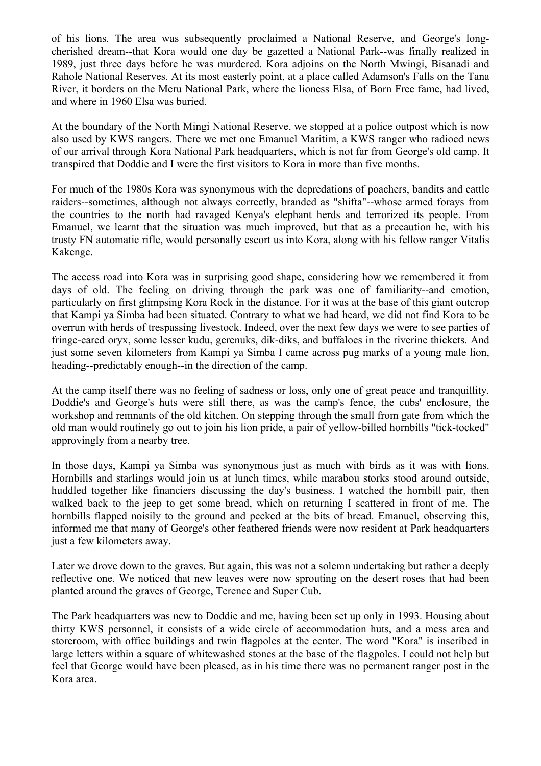of his lions. The area was subsequently proclaimed a National Reserve, and George's longcherished dream--that Kora would one day be gazetted a National Park--was finally realized in 1989, just three days before he was murdered. Kora adjoins on the North Mwingi, Bisanadi and Rahole National Reserves. At its most easterly point, at a place called Adamson's Falls on the Tana River, it borders on the Meru National Park, where the lioness Elsa, of Born Free fame, had lived, and where in 1960 Elsa was buried.

At the boundary of the North Mingi National Reserve, we stopped at a police outpost which is now also used by KWS rangers. There we met one Emanuel Maritim, a KWS ranger who radioed news of our arrival through Kora National Park headquarters, which is not far from George's old camp. It transpired that Doddie and I were the first visitors to Kora in more than five months.

For much of the 1980s Kora was synonymous with the depredations of poachers, bandits and cattle raiders--sometimes, although not always correctly, branded as "shifta"--whose armed forays from the countries to the north had ravaged Kenya's elephant herds and terrorized its people. From Emanuel, we learnt that the situation was much improved, but that as a precaution he, with his trusty FN automatic rifle, would personally escort us into Kora, along with his fellow ranger Vitalis Kakenge.

The access road into Kora was in surprising good shape, considering how we remembered it from days of old. The feeling on driving through the park was one of familiarity--and emotion, particularly on first glimpsing Kora Rock in the distance. For it was at the base of this giant outcrop that Kampi ya Simba had been situated. Contrary to what we had heard, we did not find Kora to be overrun with herds of trespassing livestock. Indeed, over the next few days we were to see parties of fringe-eared oryx, some lesser kudu, gerenuks, dik-diks, and buffaloes in the riverine thickets. And just some seven kilometers from Kampi ya Simba I came across pug marks of a young male lion, heading--predictably enough--in the direction of the camp.

At the camp itself there was no feeling of sadness or loss, only one of great peace and tranquillity. Doddie's and George's huts were still there, as was the camp's fence, the cubs' enclosure, the workshop and remnants of the old kitchen. On stepping through the small from gate from which the old man would routinely go out to join his lion pride, a pair of yellow-billed hornbills "tick-tocked" approvingly from a nearby tree.

In those days, Kampi ya Simba was synonymous just as much with birds as it was with lions. Hornbills and starlings would join us at lunch times, while marabou storks stood around outside, huddled together like financiers discussing the day's business. I watched the hornbill pair, then walked back to the jeep to get some bread, which on returning I scattered in front of me. The hornbills flapped noisily to the ground and pecked at the bits of bread. Emanuel, observing this, informed me that many of George's other feathered friends were now resident at Park headquarters just a few kilometers away.

Later we drove down to the graves. But again, this was not a solemn undertaking but rather a deeply reflective one. We noticed that new leaves were now sprouting on the desert roses that had been planted around the graves of George, Terence and Super Cub.

The Park headquarters was new to Doddie and me, having been set up only in 1993. Housing about thirty KWS personnel, it consists of a wide circle of accommodation huts, and a mess area and storeroom, with office buildings and twin flagpoles at the center. The word "Kora" is inscribed in large letters within a square of whitewashed stones at the base of the flagpoles. I could not help but feel that George would have been pleased, as in his time there was no permanent ranger post in the Kora area.